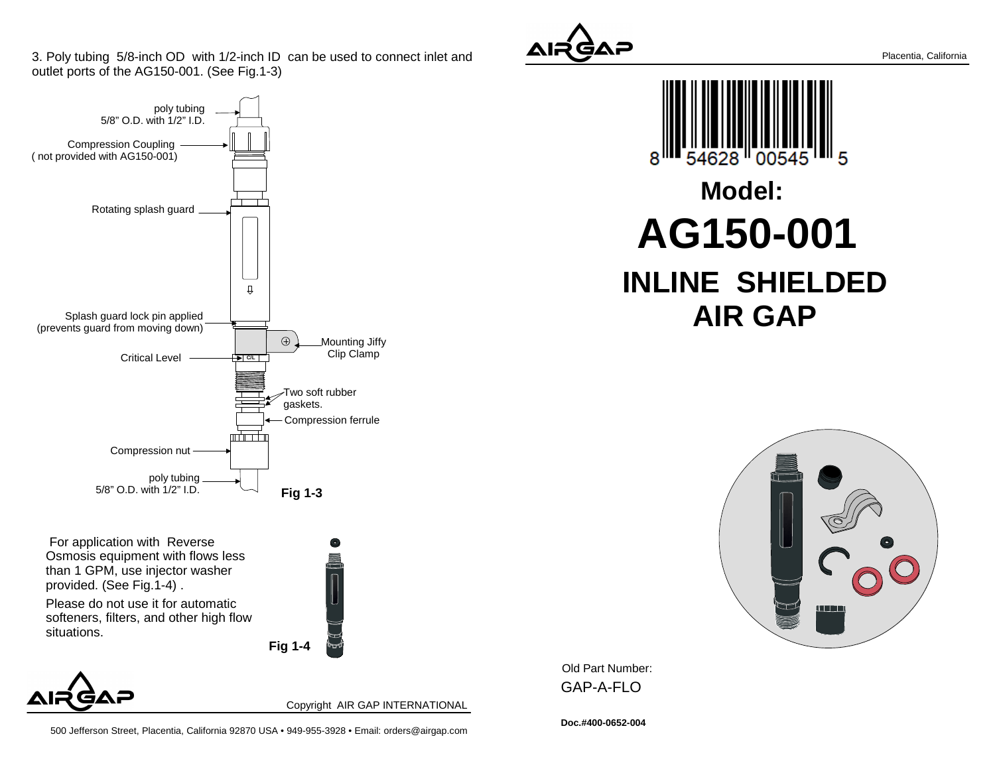3. Poly tubing 5/8-inch OD with 1/2-inch ID can be used to connect inlet andoutlet ports of the AG150-001. (See Fig.1-3)



 For application with Reverse Osmosis equipment with flows lessthan 1 GPM, use injector washerprovided. (See Fig.1-4) .

Please do not use it for automatic softeners, filters, and other high flowsituations.





Copyright AIR GAP INTERNATIONAL



500 Jefferson Street, Placentia, California 92870 USA • 949-955-3928 • Email: orders@airgap.com



g 28 **Model:AG150-001INLINE SHIELDED AIR GAP**



Old Part Number: GAP-A-FLO

**Doc.#400-0652-004**